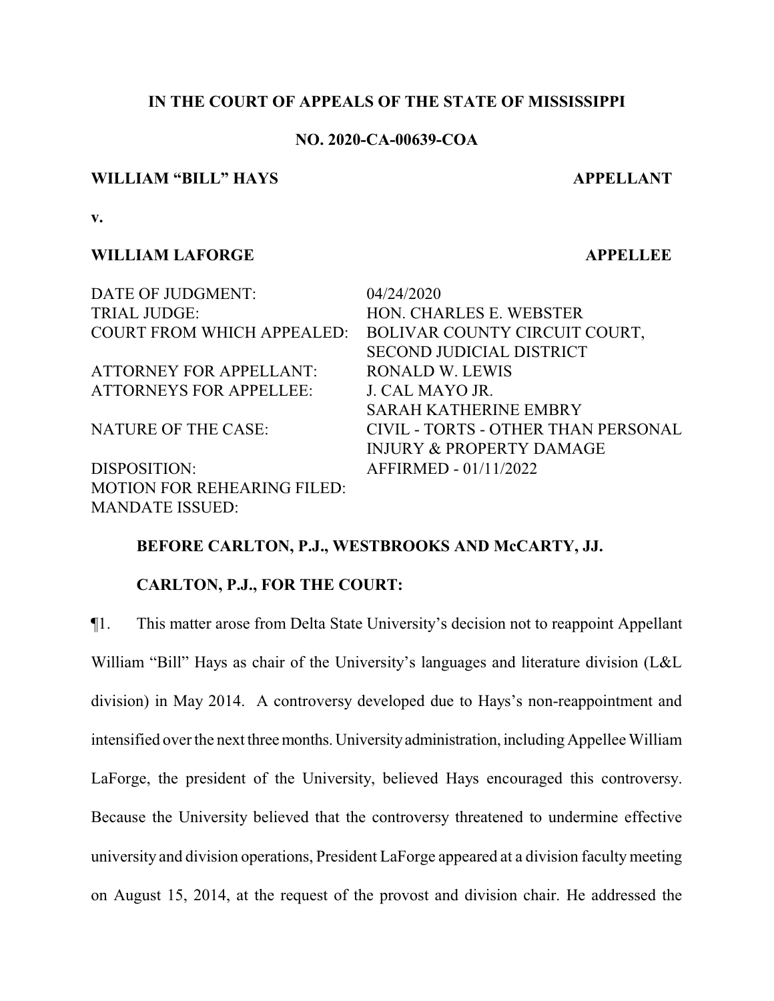## **IN THE COURT OF APPEALS OF THE STATE OF MISSISSIPPI**

# **NO. 2020-CA-00639-COA**

#### **WILLIAM "BILL" HAYS APPELLANT**

**v.**

## **WILLIAM LAFORGE APPELLEE**

DATE OF JUDGMENT: 04/24/2020 TRIAL JUDGE: HON. CHARLES E. WEBSTER COURT FROM WHICH APPEALED: BOLIVAR COUNTY CIRCUIT COURT, SECOND JUDICIAL DISTRICT ATTORNEY FOR APPELLANT: RONALD W. LEWIS ATTORNEYS FOR APPELLEE: J. CAL MAYO JR. SARAH KATHERINE EMBRY NATURE OF THE CASE: CIVIL - TORTS - OTHER THAN PERSONAL INJURY & PROPERTY DAMAGE DISPOSITION: AFFIRMED - 01/11/2022 MOTION FOR REHEARING FILED: MANDATE ISSUED:

### **BEFORE CARLTON, P.J., WESTBROOKS AND McCARTY, JJ.**

## **CARLTON, P.J., FOR THE COURT:**

¶1. This matter arose from Delta State University's decision not to reappoint Appellant William "Bill" Hays as chair of the University's languages and literature division (L&L division) in May 2014. A controversy developed due to Hays's non-reappointment and intensified over the next three months. University administration, including Appellee William LaForge, the president of the University, believed Hays encouraged this controversy. Because the University believed that the controversy threatened to undermine effective university and division operations, President LaForge appeared at a division faculty meeting on August 15, 2014, at the request of the provost and division chair. He addressed the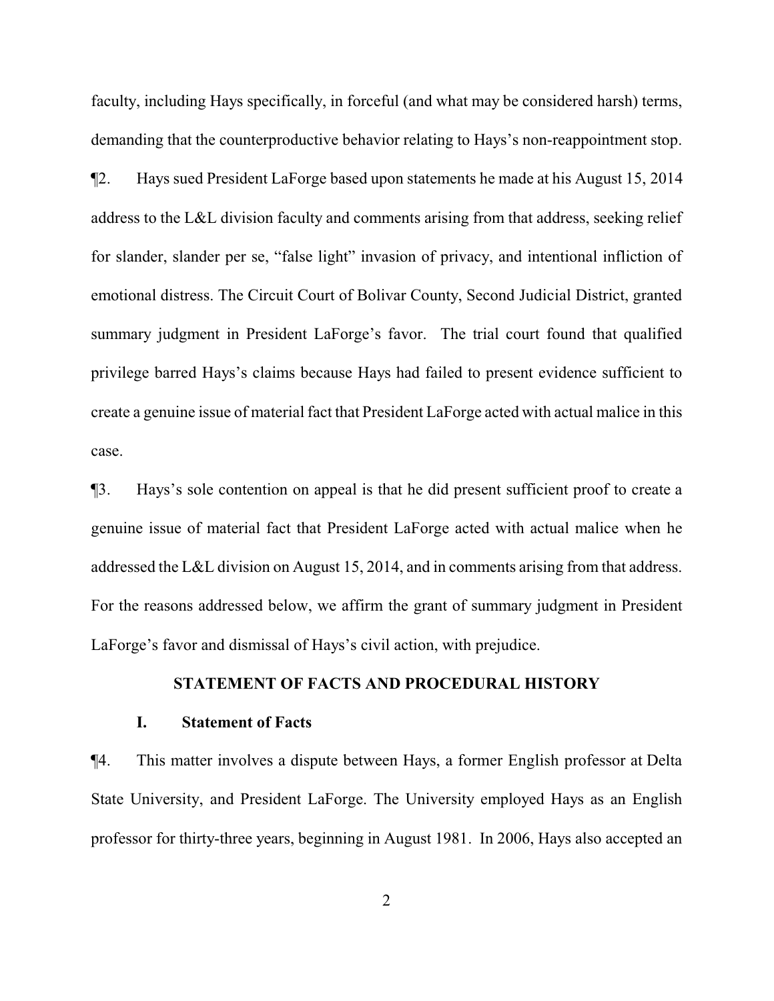faculty, including Hays specifically, in forceful (and what may be considered harsh) terms, demanding that the counterproductive behavior relating to Hays's non-reappointment stop.

¶2. Hays sued President LaForge based upon statements he made at his August 15, 2014 address to the L&L division faculty and comments arising from that address, seeking relief for slander, slander per se, "false light" invasion of privacy, and intentional infliction of emotional distress. The Circuit Court of Bolivar County, Second Judicial District, granted summary judgment in President LaForge's favor. The trial court found that qualified privilege barred Hays's claims because Hays had failed to present evidence sufficient to create a genuine issue of material fact that President LaForge acted with actual malice in this case.

¶3. Hays's sole contention on appeal is that he did present sufficient proof to create a genuine issue of material fact that President LaForge acted with actual malice when he addressed the L&L division on August 15, 2014, and in comments arising from that address. For the reasons addressed below, we affirm the grant of summary judgment in President LaForge's favor and dismissal of Hays's civil action, with prejudice.

### **STATEMENT OF FACTS AND PROCEDURAL HISTORY**

#### **I. Statement of Facts**

¶4. This matter involves a dispute between Hays, a former English professor at Delta State University, and President LaForge. The University employed Hays as an English professor for thirty-three years, beginning in August 1981. In 2006, Hays also accepted an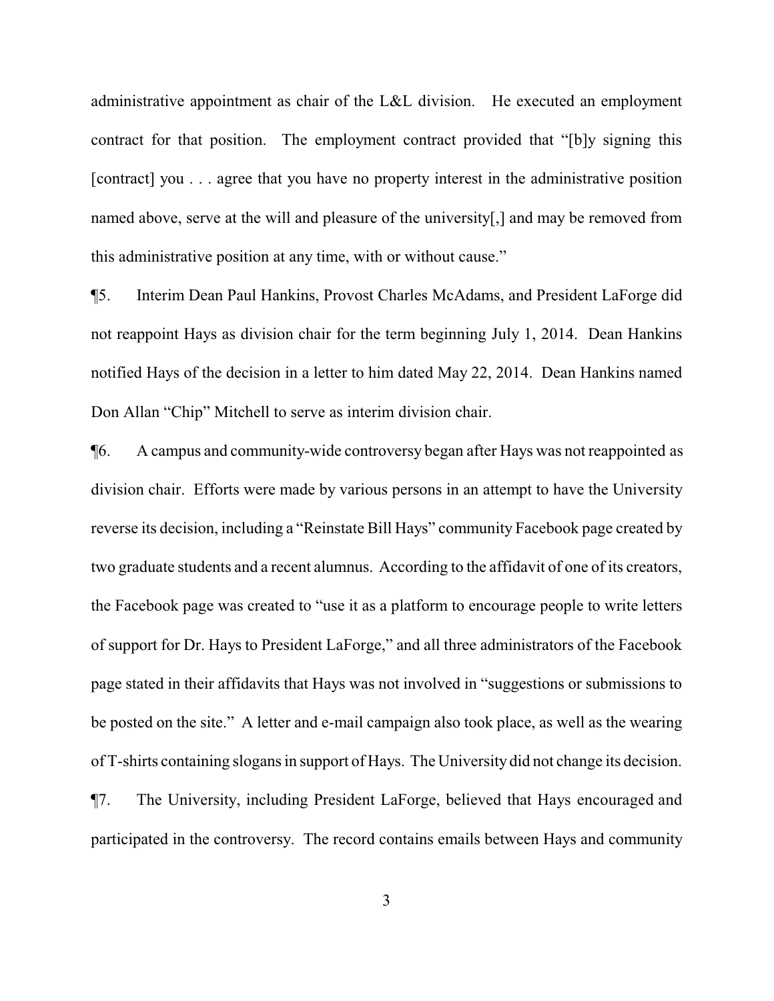administrative appointment as chair of the L&L division. He executed an employment contract for that position. The employment contract provided that "[b]y signing this [contract] you . . . agree that you have no property interest in the administrative position named above, serve at the will and pleasure of the university[,] and may be removed from this administrative position at any time, with or without cause."

¶5. Interim Dean Paul Hankins, Provost Charles McAdams, and President LaForge did not reappoint Hays as division chair for the term beginning July 1, 2014. Dean Hankins notified Hays of the decision in a letter to him dated May 22, 2014. Dean Hankins named Don Allan "Chip" Mitchell to serve as interim division chair.

¶6. A campus and community-wide controversy began after Hays was not reappointed as division chair. Efforts were made by various persons in an attempt to have the University reverse its decision, including a "Reinstate Bill Hays" community Facebook page created by two graduate students and a recent alumnus. According to the affidavit of one of its creators, the Facebook page was created to "use it as a platform to encourage people to write letters of support for Dr. Hays to President LaForge," and all three administrators of the Facebook page stated in their affidavits that Hays was not involved in "suggestions or submissions to be posted on the site." A letter and e-mail campaign also took place, as well as the wearing of T-shirts containing slogans in support of Hays. The University did not change its decision. ¶7. The University, including President LaForge, believed that Hays encouraged and participated in the controversy. The record contains emails between Hays and community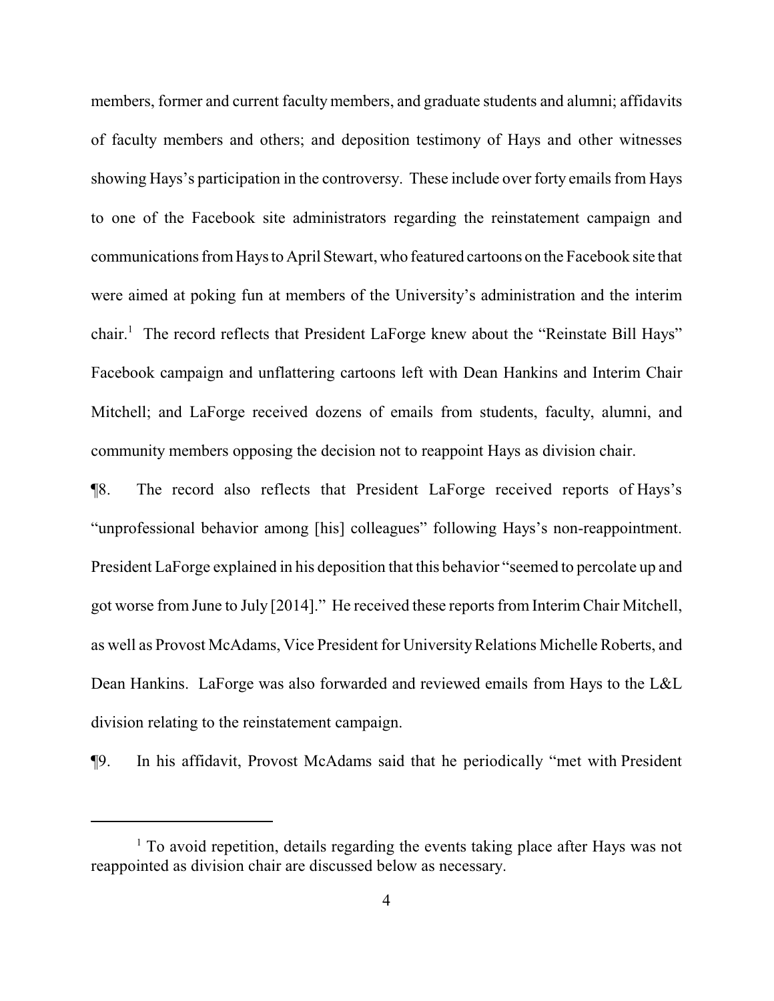members, former and current faculty members, and graduate students and alumni; affidavits of faculty members and others; and deposition testimony of Hays and other witnesses showing Hays's participation in the controversy. These include over forty emails from Hays to one of the Facebook site administrators regarding the reinstatement campaign and communications fromHays to April Stewart, who featured cartoons on the Facebook site that were aimed at poking fun at members of the University's administration and the interim chair.<sup>1</sup> The record reflects that President LaForge knew about the "Reinstate Bill Hays" Facebook campaign and unflattering cartoons left with Dean Hankins and Interim Chair Mitchell; and LaForge received dozens of emails from students, faculty, alumni, and community members opposing the decision not to reappoint Hays as division chair.

¶8. The record also reflects that President LaForge received reports of Hays's "unprofessional behavior among [his] colleagues" following Hays's non-reappointment. President LaForge explained in his deposition that this behavior "seemed to percolate up and got worse from June to July [2014]." He received these reports from Interim Chair Mitchell, as well as Provost McAdams, Vice President for UniversityRelations Michelle Roberts, and Dean Hankins. LaForge was also forwarded and reviewed emails from Hays to the L&L division relating to the reinstatement campaign.

¶9. In his affidavit, Provost McAdams said that he periodically "met with President

 $<sup>1</sup>$  To avoid repetition, details regarding the events taking place after Hays was not</sup> reappointed as division chair are discussed below as necessary.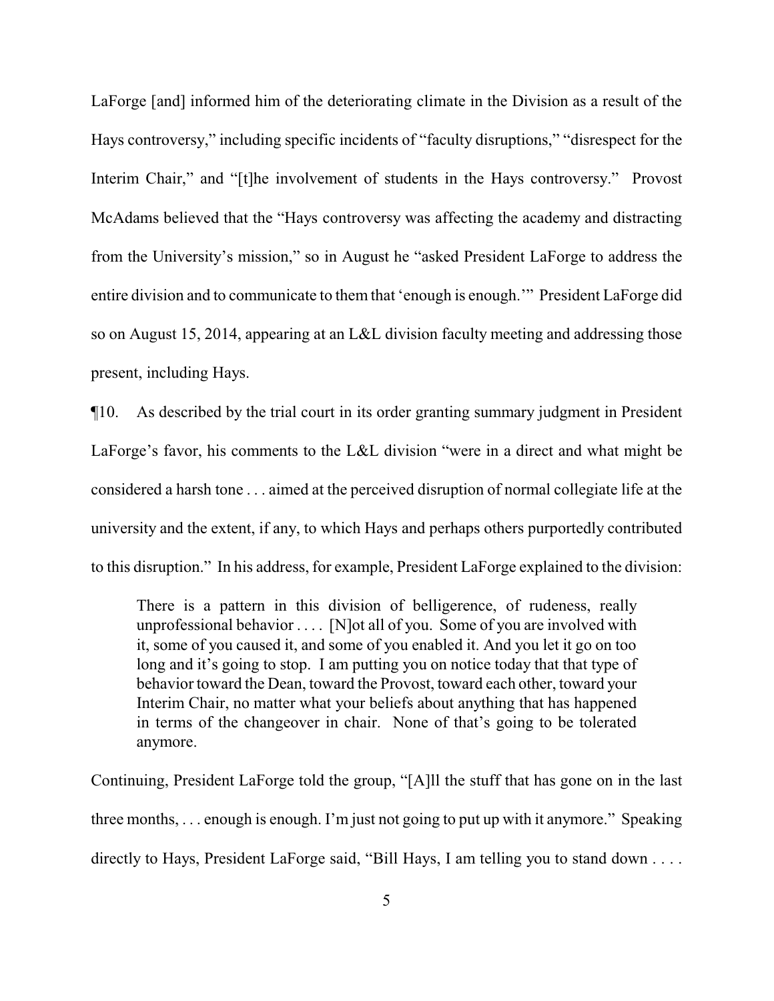LaForge [and] informed him of the deteriorating climate in the Division as a result of the Hays controversy," including specific incidents of "faculty disruptions," "disrespect for the Interim Chair," and "[t]he involvement of students in the Hays controversy." Provost McAdams believed that the "Hays controversy was affecting the academy and distracting from the University's mission," so in August he "asked President LaForge to address the entire division and to communicate to them that 'enough is enough.'" President LaForge did so on August 15, 2014, appearing at an L&L division faculty meeting and addressing those present, including Hays.

¶10. As described by the trial court in its order granting summary judgment in President LaForge's favor, his comments to the L&L division "were in a direct and what might be considered a harsh tone . . . aimed at the perceived disruption of normal collegiate life at the university and the extent, if any, to which Hays and perhaps others purportedly contributed to this disruption." In his address, for example, President LaForge explained to the division:

There is a pattern in this division of belligerence, of rudeness, really unprofessional behavior  $\dots$  [N] ot all of you. Some of you are involved with it, some of you caused it, and some of you enabled it. And you let it go on too long and it's going to stop. I am putting you on notice today that that type of behavior toward the Dean, toward the Provost, toward each other, toward your Interim Chair, no matter what your beliefs about anything that has happened in terms of the changeover in chair. None of that's going to be tolerated anymore.

Continuing, President LaForge told the group, "[A]ll the stuff that has gone on in the last three months, . . . enough is enough. I'm just not going to put up with it anymore." Speaking directly to Hays, President LaForge said, "Bill Hays, I am telling you to stand down . . . .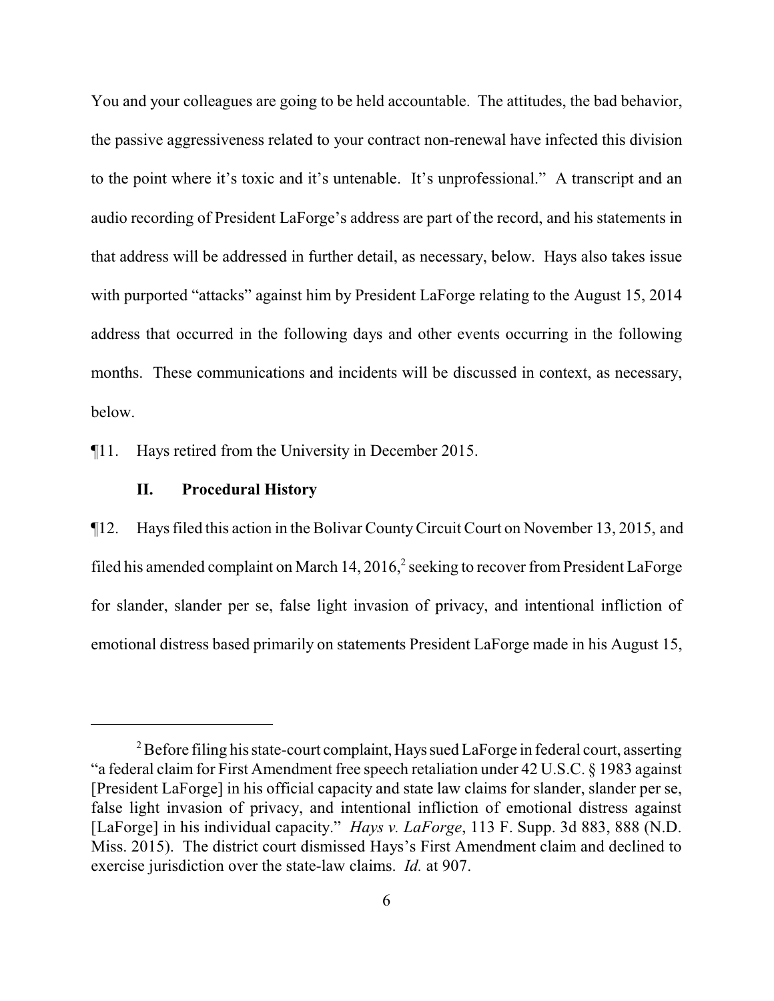You and your colleagues are going to be held accountable. The attitudes, the bad behavior, the passive aggressiveness related to your contract non-renewal have infected this division to the point where it's toxic and it's untenable. It's unprofessional." A transcript and an audio recording of President LaForge's address are part of the record, and his statements in that address will be addressed in further detail, as necessary, below. Hays also takes issue with purported "attacks" against him by President LaForge relating to the August 15, 2014 address that occurred in the following days and other events occurring in the following months. These communications and incidents will be discussed in context, as necessary, below.

¶11. Hays retired from the University in December 2015.

## **II. Procedural History**

¶12. Hays filed this action in the Bolivar CountyCircuit Court on November 13, 2015, and filed his amended complaint on March 14,  $2016<sup>2</sup>$  seeking to recover from President LaForge for slander, slander per se, false light invasion of privacy, and intentional infliction of emotional distress based primarily on statements President LaForge made in his August 15,

 $2^2$  Before filing his state-court complaint, Hays sued LaForge in federal court, asserting "a federal claim for First Amendment free speech retaliation under 42 U.S.C. § 1983 against [President LaForge] in his official capacity and state law claims for slander, slander per se, false light invasion of privacy, and intentional infliction of emotional distress against [LaForge] in his individual capacity." *Hays v. LaForge*, 113 F. Supp. 3d 883, 888 (N.D. Miss. 2015). The district court dismissed Hays's First Amendment claim and declined to exercise jurisdiction over the state-law claims. *Id.* at 907.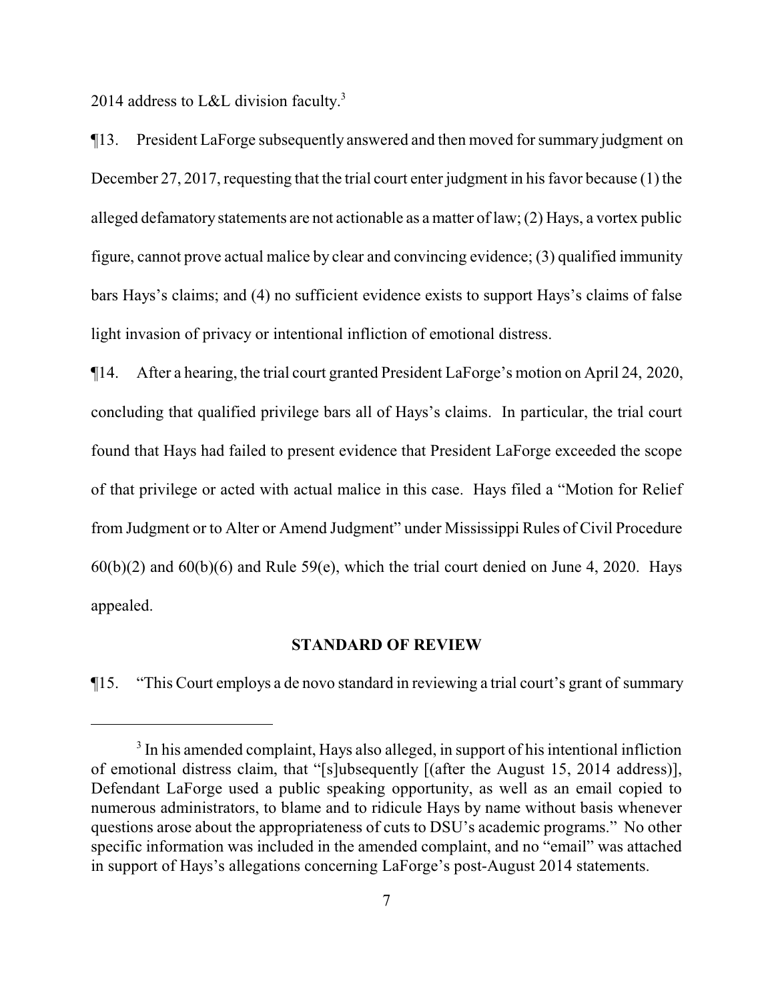2014 address to L&L division faculty.<sup>3</sup>

¶13. President LaForge subsequently answered and then moved for summary judgment on December 27, 2017, requesting that the trial court enter judgment in his favor because (1) the alleged defamatory statements are not actionable as a matter of law; (2) Hays, a vortex public figure, cannot prove actual malice by clear and convincing evidence; (3) qualified immunity bars Hays's claims; and (4) no sufficient evidence exists to support Hays's claims of false light invasion of privacy or intentional infliction of emotional distress.

¶14. After a hearing, the trial court granted President LaForge's motion on April 24, 2020, concluding that qualified privilege bars all of Hays's claims. In particular, the trial court found that Hays had failed to present evidence that President LaForge exceeded the scope of that privilege or acted with actual malice in this case. Hays filed a "Motion for Relief from Judgment or to Alter or Amend Judgment" under Mississippi Rules of Civil Procedure  $60(b)(2)$  and  $60(b)(6)$  and Rule 59(e), which the trial court denied on June 4, 2020. Hays appealed.

#### **STANDARD OF REVIEW**

¶15. "This Court employs a de novo standard in reviewing a trial court's grant of summary

<sup>&</sup>lt;sup>3</sup> In his amended complaint, Hays also alleged, in support of his intentional infliction of emotional distress claim, that "[s]ubsequently [(after the August 15, 2014 address)], Defendant LaForge used a public speaking opportunity, as well as an email copied to numerous administrators, to blame and to ridicule Hays by name without basis whenever questions arose about the appropriateness of cuts to DSU's academic programs." No other specific information was included in the amended complaint, and no "email" was attached in support of Hays's allegations concerning LaForge's post-August 2014 statements.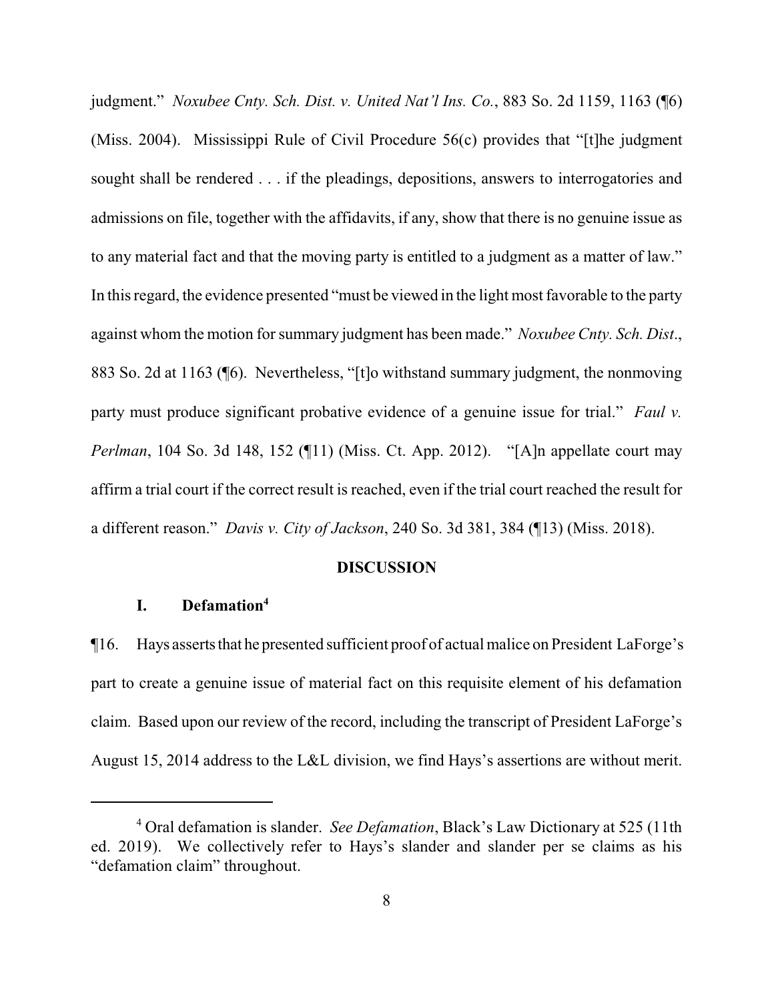judgment." *Noxubee Cnty. Sch. Dist. v. United Nat'l Ins. Co.*, 883 So. 2d 1159, 1163 (¶6) (Miss. 2004). Mississippi Rule of Civil Procedure 56(c) provides that "[t]he judgment sought shall be rendered . . . if the pleadings, depositions, answers to interrogatories and admissions on file, together with the affidavits, if any, show that there is no genuine issue as to any material fact and that the moving party is entitled to a judgment as a matter of law." In this regard, the evidence presented "must be viewed in the light most favorable to the party against whom the motion forsummary judgment has been made." *Noxubee Cnty. Sch. Dist*., 883 So. 2d at 1163 (¶6). Nevertheless, "[t]o withstand summary judgment, the nonmoving party must produce significant probative evidence of a genuine issue for trial." *Faul v. Perlman*, 104 So. 3d 148, 152 (¶11) (Miss. Ct. App. 2012). "[A]n appellate court may affirm a trial court if the correct result is reached, even if the trial court reached the result for a different reason." *Davis v. City of Jackson*, 240 So. 3d 381, 384 (¶13) (Miss. 2018).

#### **DISCUSSION**

## **I. Defamation<sup>4</sup>**

¶16. Hays assertsthat he presented sufficient proof of actual malice on President LaForge's part to create a genuine issue of material fact on this requisite element of his defamation claim. Based upon our review of the record, including the transcript of President LaForge's August 15, 2014 address to the L&L division, we find Hays's assertions are without merit.

<sup>4</sup> Oral defamation is slander. *See Defamation*, Black's Law Dictionary at 525 (11th ed. 2019). We collectively refer to Hays's slander and slander per se claims as his "defamation claim" throughout.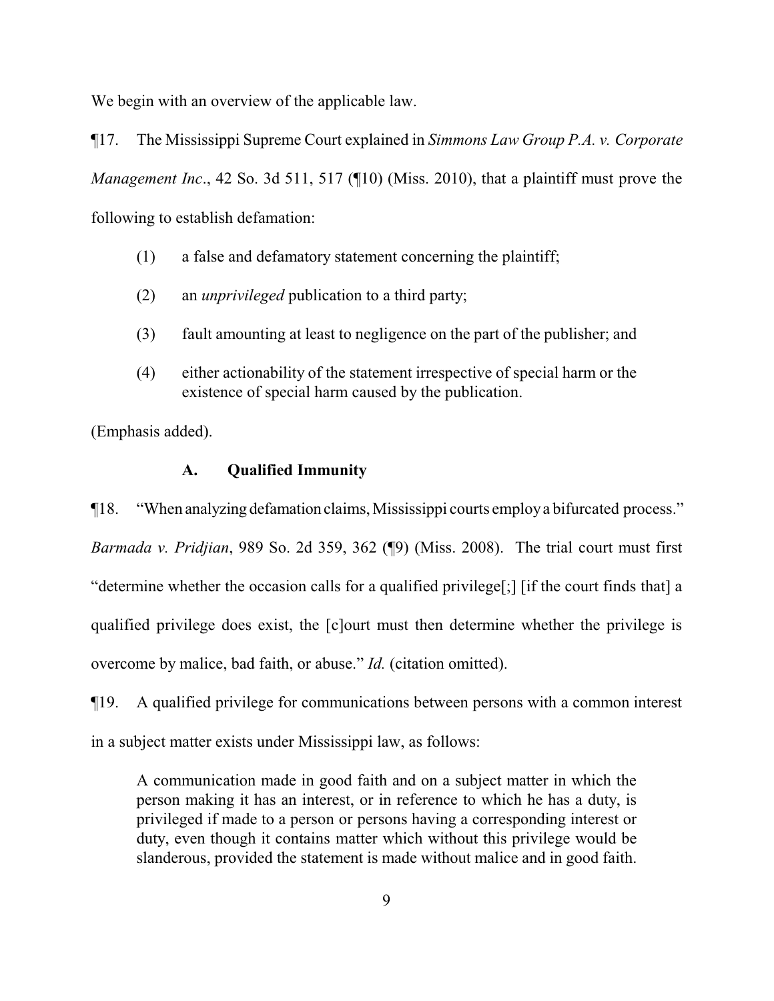We begin with an overview of the applicable law.

¶17. The Mississippi Supreme Court explained in *Simmons Law Group P.A. v. Corporate Management Inc*., 42 So. 3d 511, 517 (¶10) (Miss. 2010), that a plaintiff must prove the following to establish defamation:

- (1) a false and defamatory statement concerning the plaintiff;
- (2) an *unprivileged* publication to a third party;
- (3) fault amounting at least to negligence on the part of the publisher; and
- (4) either actionability of the statement irrespective of special harm or the existence of special harm caused by the publication.

(Emphasis added).

## **A. Qualified Immunity**

¶18. "When analyzing defamation claims, Mississippi courts employa bifurcated process." *Barmada v. Pridjian*, 989 So. 2d 359, 362 (¶9) (Miss. 2008). The trial court must first "determine whether the occasion calls for a qualified privilege[;] [if the court finds that] a qualified privilege does exist, the [c]ourt must then determine whether the privilege is overcome by malice, bad faith, or abuse." *Id.* (citation omitted).

¶19. A qualified privilege for communications between persons with a common interest in a subject matter exists under Mississippi law, as follows:

A communication made in good faith and on a subject matter in which the person making it has an interest, or in reference to which he has a duty, is privileged if made to a person or persons having a corresponding interest or duty, even though it contains matter which without this privilege would be slanderous, provided the statement is made without malice and in good faith.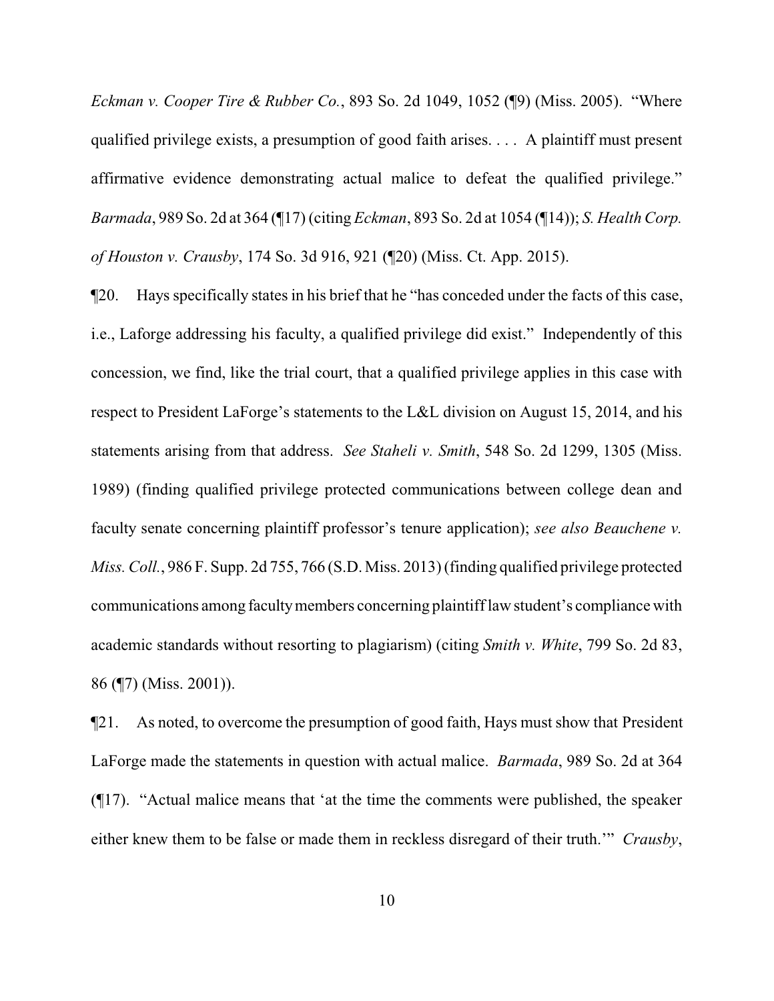*Eckman v. Cooper Tire & Rubber Co.*, 893 So. 2d 1049, 1052 (¶9) (Miss. 2005). "Where qualified privilege exists, a presumption of good faith arises. . . . A plaintiff must present affirmative evidence demonstrating actual malice to defeat the qualified privilege." *Barmada*, 989 So. 2d at 364 (¶17) (citing *Eckman*, 893 So. 2d at 1054 (¶14)); *S. Health Corp. of Houston v. Crausby*, 174 So. 3d 916, 921 (¶20) (Miss. Ct. App. 2015).

¶20. Hays specifically states in his brief that he "has conceded under the facts of this case, i.e., Laforge addressing his faculty, a qualified privilege did exist." Independently of this concession, we find, like the trial court, that a qualified privilege applies in this case with respect to President LaForge's statements to the L&L division on August 15, 2014, and his statements arising from that address. *See Staheli v. Smith*, 548 So. 2d 1299, 1305 (Miss. 1989) (finding qualified privilege protected communications between college dean and faculty senate concerning plaintiff professor's tenure application); *see also Beauchene v. Miss. Coll.*, 986 F. Supp. 2d 755, 766 (S.D. Miss. 2013) (finding qualified privilege protected communications among facultymembers concerning plaintifflaw student's compliance with academic standards without resorting to plagiarism) (citing *Smith v. White*, 799 So. 2d 83, 86 (¶7) (Miss. 2001)).

¶21. As noted, to overcome the presumption of good faith, Hays must show that President LaForge made the statements in question with actual malice. *Barmada*, 989 So. 2d at 364 (¶17). "Actual malice means that 'at the time the comments were published, the speaker either knew them to be false or made them in reckless disregard of their truth.'" *Crausby*,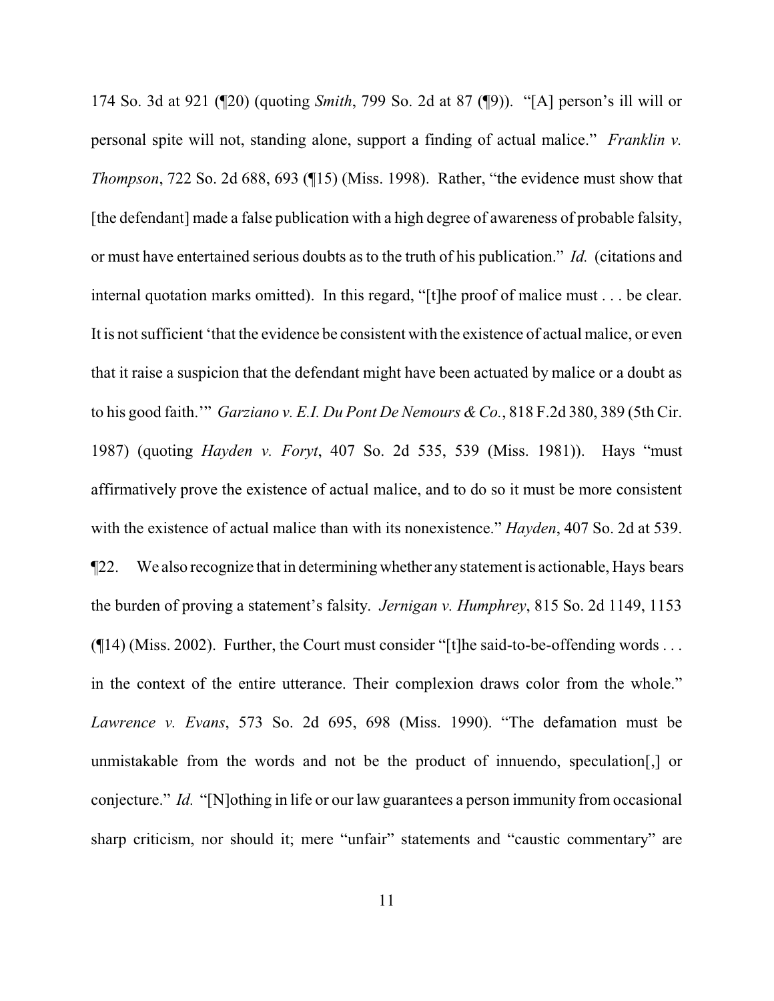174 So. 3d at 921 (¶20) (quoting *Smith*, 799 So. 2d at 87 (¶9)). "[A] person's ill will or personal spite will not, standing alone, support a finding of actual malice." *Franklin v. Thompson*, 722 So. 2d 688, 693 (¶15) (Miss. 1998). Rather, "the evidence must show that [the defendant] made a false publication with a high degree of awareness of probable falsity, or must have entertained serious doubts as to the truth of his publication." *Id.* (citations and internal quotation marks omitted). In this regard, "[t]he proof of malice must . . . be clear. It is not sufficient 'that the evidence be consistent with the existence of actual malice, or even that it raise a suspicion that the defendant might have been actuated by malice or a doubt as to his good faith." *Garziano v. E.I. Du Pont De Nemours & Co.*, 818 F.2d 380, 389 (5th Cir. 1987) (quoting *Hayden v. Foryt*, 407 So. 2d 535, 539 (Miss. 1981)). Hays "must affirmatively prove the existence of actual malice, and to do so it must be more consistent with the existence of actual malice than with its nonexistence." *Hayden*, 407 So. 2d at 539. ¶22. We also recognize that in determining whether anystatement is actionable, Hays bears the burden of proving a statement's falsity. *Jernigan v. Humphrey*, 815 So. 2d 1149, 1153  $($  [14) (Miss. 2002). Further, the Court must consider "[t] he said-to-be-offending words ... in the context of the entire utterance. Their complexion draws color from the whole." *Lawrence v. Evans*, 573 So. 2d 695, 698 (Miss. 1990). "The defamation must be unmistakable from the words and not be the product of innuendo, speculation[,] or conjecture." *Id.* "[N]othing in life or our law guarantees a person immunity from occasional sharp criticism, nor should it; mere "unfair" statements and "caustic commentary" are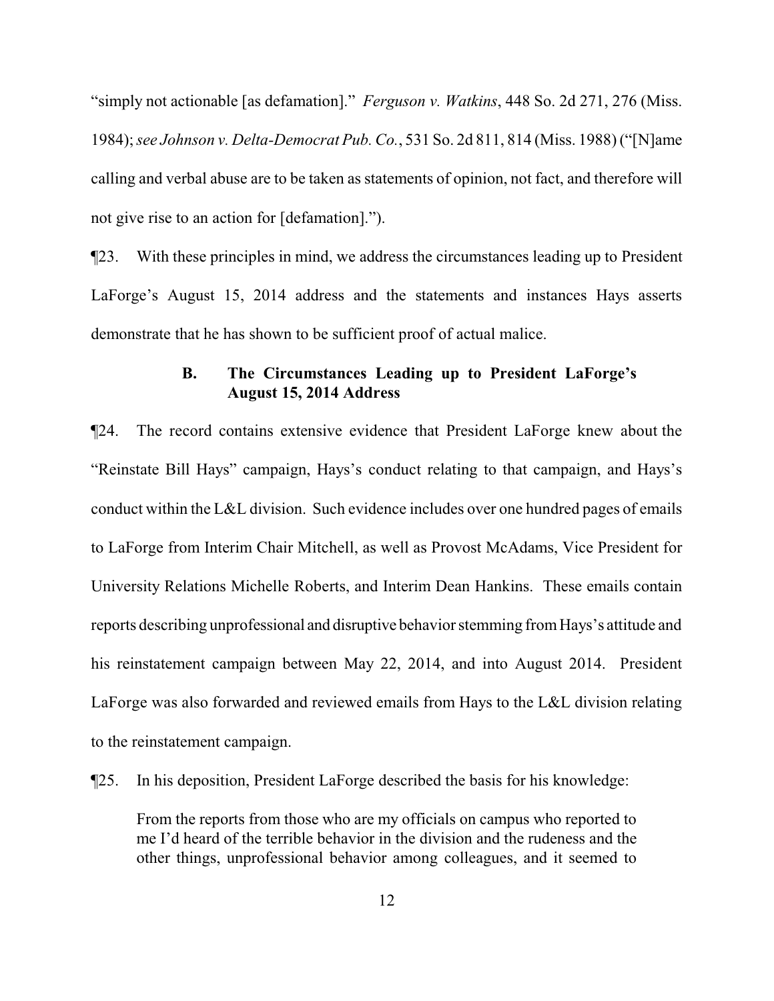"simply not actionable [as defamation]." *Ferguson v. Watkins*, 448 So. 2d 271, 276 (Miss. 1984); *see Johnson v. Delta-Democrat Pub. Co.*, 531 So. 2d 811, 814 (Miss. 1988) ("[N]ame calling and verbal abuse are to be taken as statements of opinion, not fact, and therefore will not give rise to an action for [defamation].").

¶23. With these principles in mind, we address the circumstances leading up to President LaForge's August 15, 2014 address and the statements and instances Hays asserts demonstrate that he has shown to be sufficient proof of actual malice.

# **B. The Circumstances Leading up to President LaForge's August 15, 2014 Address**

¶24. The record contains extensive evidence that President LaForge knew about the "Reinstate Bill Hays" campaign, Hays's conduct relating to that campaign, and Hays's conduct within the L&L division. Such evidence includes over one hundred pages of emails to LaForge from Interim Chair Mitchell, as well as Provost McAdams, Vice President for University Relations Michelle Roberts, and Interim Dean Hankins. These emails contain reports describing unprofessional and disruptive behavior stemming fromHays's attitude and his reinstatement campaign between May 22, 2014, and into August 2014. President LaForge was also forwarded and reviewed emails from Hays to the L&L division relating to the reinstatement campaign.

¶25. In his deposition, President LaForge described the basis for his knowledge:

From the reports from those who are my officials on campus who reported to me I'd heard of the terrible behavior in the division and the rudeness and the other things, unprofessional behavior among colleagues, and it seemed to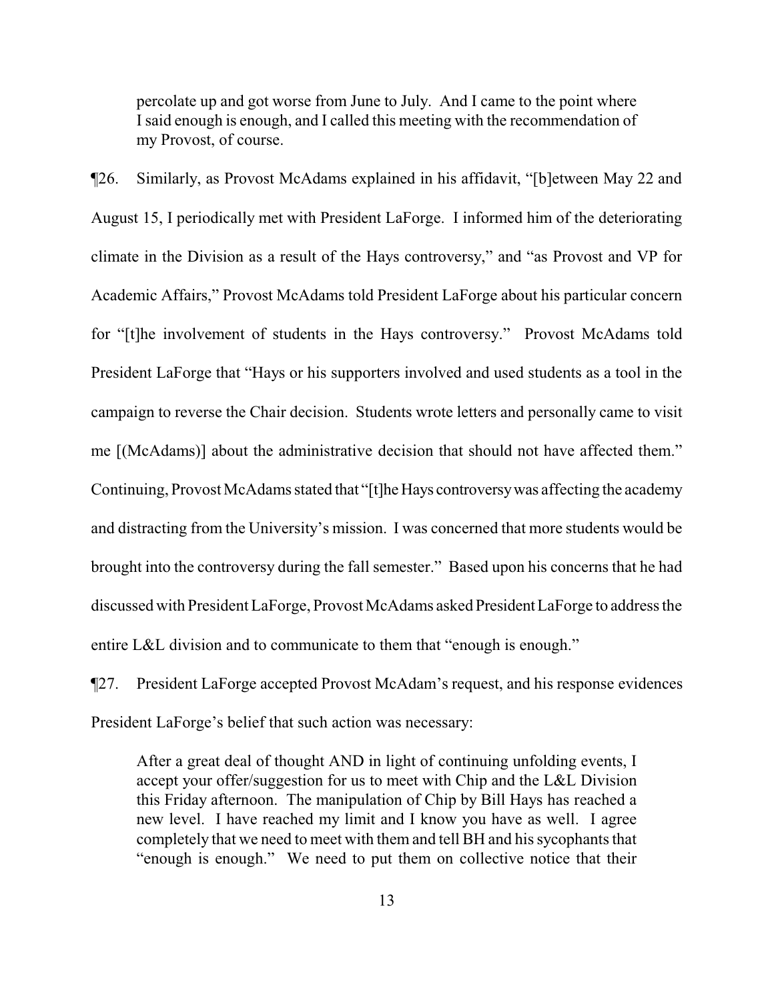percolate up and got worse from June to July. And I came to the point where I said enough is enough, and I called this meeting with the recommendation of my Provost, of course.

¶26. Similarly, as Provost McAdams explained in his affidavit, "[b]etween May 22 and August 15, I periodically met with President LaForge. I informed him of the deteriorating climate in the Division as a result of the Hays controversy," and "as Provost and VP for Academic Affairs," Provost McAdams told President LaForge about his particular concern for "[t]he involvement of students in the Hays controversy." Provost McAdams told President LaForge that "Hays or his supporters involved and used students as a tool in the campaign to reverse the Chair decision. Students wrote letters and personally came to visit me [(McAdams)] about the administrative decision that should not have affected them." Continuing, Provost McAdams stated that "[t]he Hays controversy was affecting the academy and distracting from the University's mission. I was concerned that more students would be brought into the controversy during the fall semester." Based upon his concerns that he had discussed with President LaForge, Provost McAdams asked PresidentLaForge to address the entire L&L division and to communicate to them that "enough is enough."

¶27. President LaForge accepted Provost McAdam's request, and his response evidences President LaForge's belief that such action was necessary:

After a great deal of thought AND in light of continuing unfolding events, I accept your offer/suggestion for us to meet with Chip and the L&L Division this Friday afternoon. The manipulation of Chip by Bill Hays has reached a new level. I have reached my limit and I know you have as well. I agree completely that we need to meet with them and tell BH and his sycophants that "enough is enough." We need to put them on collective notice that their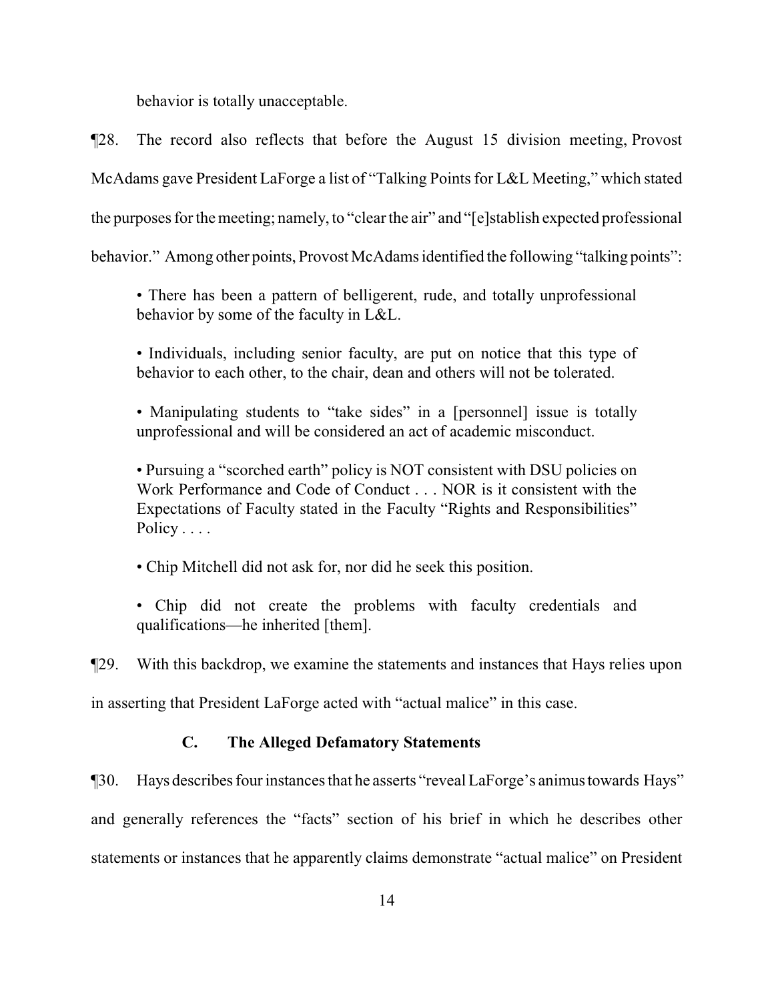behavior is totally unacceptable.

¶28. The record also reflects that before the August 15 division meeting, Provost McAdams gave President LaForge a list of "Talking Points for L&L Meeting," which stated the purposes for the meeting; namely, to "clear the air" and "[e]stablish expected professional behavior." Among other points, Provost McAdams identified the following "talking points":

• There has been a pattern of belligerent, rude, and totally unprofessional behavior by some of the faculty in L&L.

• Individuals, including senior faculty, are put on notice that this type of behavior to each other, to the chair, dean and others will not be tolerated.

• Manipulating students to "take sides" in a [personnel] issue is totally unprofessional and will be considered an act of academic misconduct.

• Pursuing a "scorched earth" policy is NOT consistent with DSU policies on Work Performance and Code of Conduct . . . NOR is it consistent with the Expectations of Faculty stated in the Faculty "Rights and Responsibilities" Policy . . . .

• Chip Mitchell did not ask for, nor did he seek this position.

• Chip did not create the problems with faculty credentials and qualifications—he inherited [them].

¶29. With this backdrop, we examine the statements and instances that Hays relies upon

in asserting that President LaForge acted with "actual malice" in this case.

## **C. The Alleged Defamatory Statements**

¶30. Hays describes four instances that he asserts "reveal LaForge's animustowards Hays" and generally references the "facts" section of his brief in which he describes other statements or instances that he apparently claims demonstrate "actual malice" on President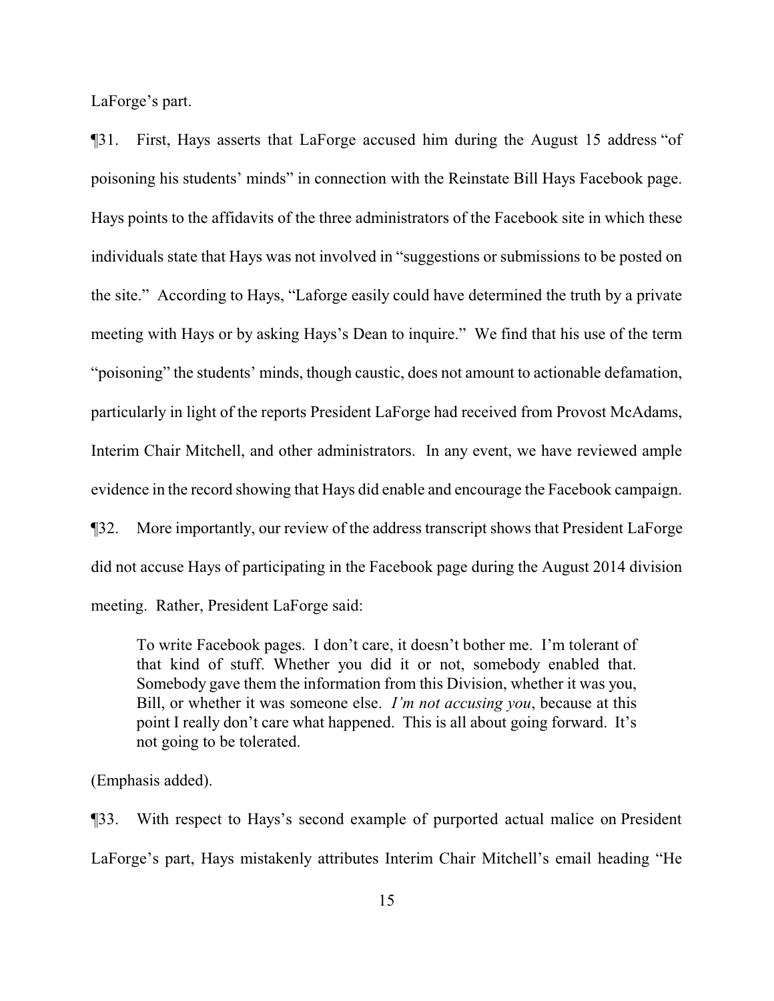LaForge's part.

¶31. First, Hays asserts that LaForge accused him during the August 15 address "of poisoning his students' minds" in connection with the Reinstate Bill Hays Facebook page. Hays points to the affidavits of the three administrators of the Facebook site in which these individuals state that Hays was not involved in "suggestions or submissions to be posted on the site." According to Hays, "Laforge easily could have determined the truth by a private meeting with Hays or by asking Hays's Dean to inquire." We find that his use of the term "poisoning" the students' minds, though caustic, does not amount to actionable defamation, particularly in light of the reports President LaForge had received from Provost McAdams, Interim Chair Mitchell, and other administrators. In any event, we have reviewed ample evidence in the record showing that Hays did enable and encourage the Facebook campaign. ¶32. More importantly, our review of the address transcript shows that President LaForge did not accuse Hays of participating in the Facebook page during the August 2014 division meeting. Rather, President LaForge said:

To write Facebook pages. I don't care, it doesn't bother me. I'm tolerant of that kind of stuff. Whether you did it or not, somebody enabled that. Somebody gave them the information from this Division, whether it was you, Bill, or whether it was someone else. *I'm not accusing you*, because at this point I really don't care what happened. This is all about going forward. It's not going to be tolerated.

(Emphasis added).

¶33. With respect to Hays's second example of purported actual malice on President LaForge's part, Hays mistakenly attributes Interim Chair Mitchell's email heading "He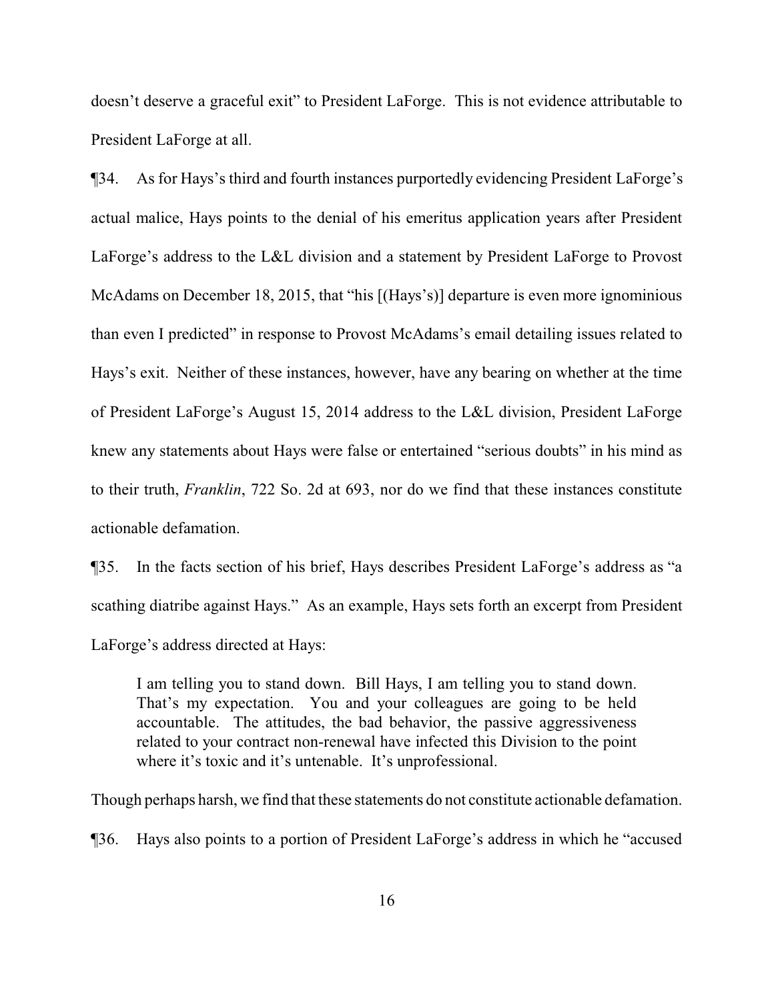doesn't deserve a graceful exit" to President LaForge. This is not evidence attributable to President LaForge at all.

¶34. As for Hays's third and fourth instances purportedly evidencing President LaForge's actual malice, Hays points to the denial of his emeritus application years after President LaForge's address to the L&L division and a statement by President LaForge to Provost McAdams on December 18, 2015, that "his [(Hays's)] departure is even more ignominious than even I predicted" in response to Provost McAdams's email detailing issues related to Hays's exit. Neither of these instances, however, have any bearing on whether at the time of President LaForge's August 15, 2014 address to the L&L division, President LaForge knew any statements about Hays were false or entertained "serious doubts" in his mind as to their truth, *Franklin*, 722 So. 2d at 693, nor do we find that these instances constitute actionable defamation.

¶35. In the facts section of his brief, Hays describes President LaForge's address as "a scathing diatribe against Hays." As an example, Hays sets forth an excerpt from President LaForge's address directed at Hays:

I am telling you to stand down. Bill Hays, I am telling you to stand down. That's my expectation. You and your colleagues are going to be held accountable. The attitudes, the bad behavior, the passive aggressiveness related to your contract non-renewal have infected this Division to the point where it's toxic and it's untenable. It's unprofessional.

Though perhaps harsh, we find that these statements do not constitute actionable defamation.

¶36. Hays also points to a portion of President LaForge's address in which he "accused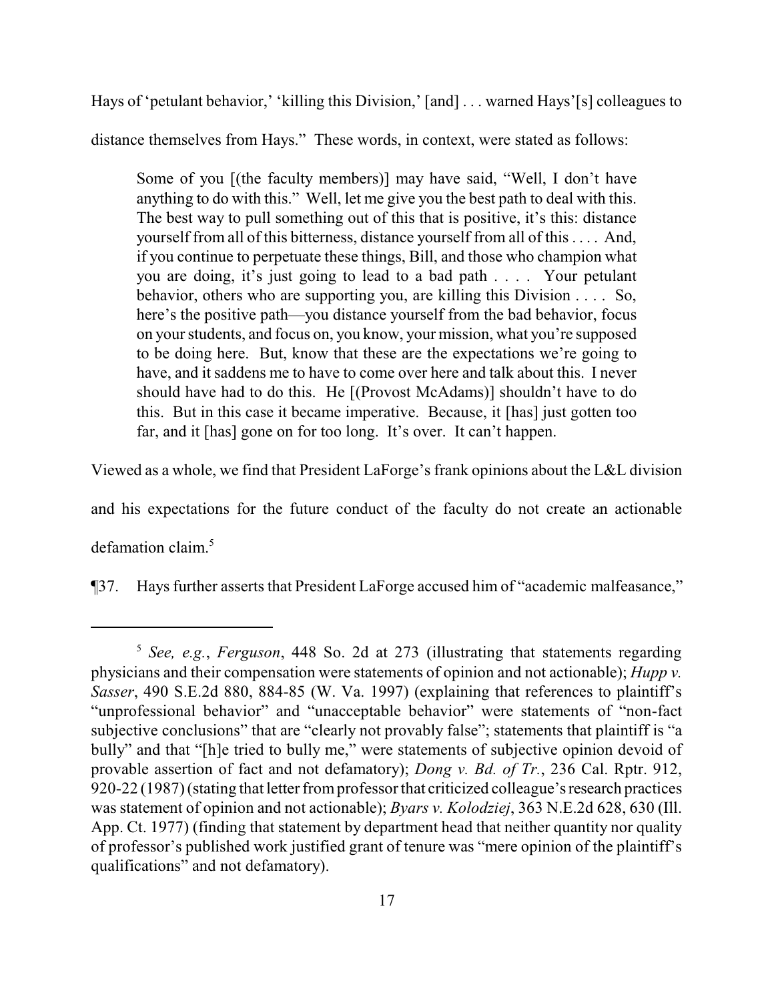Hays of 'petulant behavior,' 'killing this Division,' [and] . . . warned Hays'[s] colleagues to distance themselves from Hays." These words, in context, were stated as follows:

Some of you [(the faculty members)] may have said, "Well, I don't have anything to do with this." Well, let me give you the best path to deal with this. The best way to pull something out of this that is positive, it's this: distance yourself from all of this bitterness, distance yourself from all of this . . . . And, if you continue to perpetuate these things, Bill, and those who champion what you are doing, it's just going to lead to a bad path . . . . Your petulant behavior, others who are supporting you, are killing this Division . . . . So, here's the positive path—you distance yourself from the bad behavior, focus on your students, and focus on, you know, your mission, what you're supposed to be doing here. But, know that these are the expectations we're going to have, and it saddens me to have to come over here and talk about this. I never should have had to do this. He [(Provost McAdams)] shouldn't have to do this. But in this case it became imperative. Because, it [has] just gotten too far, and it [has] gone on for too long. It's over. It can't happen.

Viewed as a whole, we find that President LaForge's frank opinions about the L&L division

and his expectations for the future conduct of the faculty do not create an actionable

defamation claim. 5

¶37. Hays further asserts that President LaForge accused him of "academic malfeasance,"

<sup>5</sup> *See, e.g.*, *Ferguson*, 448 So. 2d at 273 (illustrating that statements regarding physicians and their compensation were statements of opinion and not actionable); *Hupp v. Sasser*, 490 S.E.2d 880, 884-85 (W. Va. 1997) (explaining that references to plaintiff's "unprofessional behavior" and "unacceptable behavior" were statements of "non-fact subjective conclusions" that are "clearly not provably false"; statements that plaintiff is "a bully" and that "[h]e tried to bully me," were statements of subjective opinion devoid of provable assertion of fact and not defamatory); *Dong v. Bd. of Tr.*, 236 Cal. Rptr. 912, 920-22 (1987) (stating that letter from professor that criticized colleague's research practices was statement of opinion and not actionable); *Byars v. Kolodziej*, 363 N.E.2d 628, 630 (Ill. App. Ct. 1977) (finding that statement by department head that neither quantity nor quality of professor's published work justified grant of tenure was "mere opinion of the plaintiff's qualifications" and not defamatory).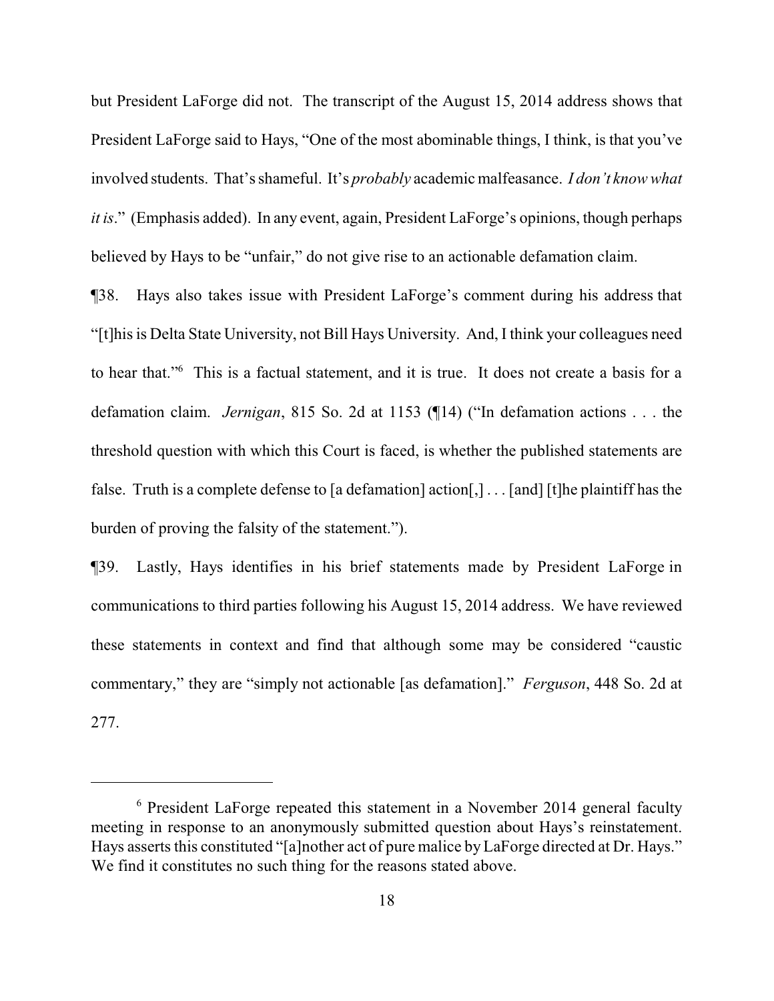but President LaForge did not. The transcript of the August 15, 2014 address shows that President LaForge said to Hays, "One of the most abominable things, I think, is that you've involved students. That's shameful. It's *probably* academic malfeasance. *I don't know what it is.*" (Emphasis added). In any event, again, President LaForge's opinions, though perhaps believed by Hays to be "unfair," do not give rise to an actionable defamation claim.

¶38. Hays also takes issue with President LaForge's comment during his address that "[t]his is Delta State University, not Bill Hays University. And, I think your colleagues need to hear that."<sup>6</sup> This is a factual statement, and it is true. It does not create a basis for a defamation claim. *Jernigan*, 815 So. 2d at 1153 (¶14) ("In defamation actions . . . the threshold question with which this Court is faced, is whether the published statements are false. Truth is a complete defense to [a defamation] action[,] . . . [and] [t]he plaintiff has the burden of proving the falsity of the statement.").

¶39. Lastly, Hays identifies in his brief statements made by President LaForge in communications to third parties following his August 15, 2014 address. We have reviewed these statements in context and find that although some may be considered "caustic commentary," they are "simply not actionable [as defamation]." *Ferguson*, 448 So. 2d at 277.

<sup>6</sup> President LaForge repeated this statement in a November 2014 general faculty meeting in response to an anonymously submitted question about Hays's reinstatement. Hays asserts this constituted "[a]nother act of pure malice by LaForge directed at Dr. Hays." We find it constitutes no such thing for the reasons stated above.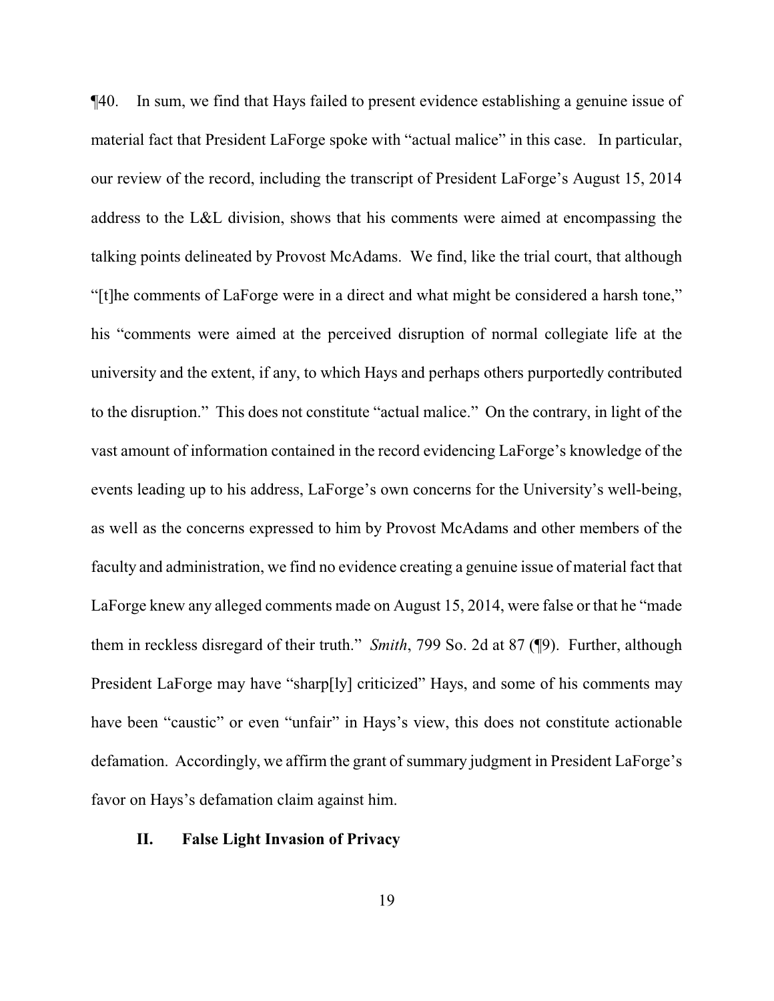¶40. In sum, we find that Hays failed to present evidence establishing a genuine issue of material fact that President LaForge spoke with "actual malice" in this case. In particular, our review of the record, including the transcript of President LaForge's August 15, 2014 address to the L&L division, shows that his comments were aimed at encompassing the talking points delineated by Provost McAdams. We find, like the trial court, that although "[t]he comments of LaForge were in a direct and what might be considered a harsh tone," his "comments were aimed at the perceived disruption of normal collegiate life at the university and the extent, if any, to which Hays and perhaps others purportedly contributed to the disruption." This does not constitute "actual malice." On the contrary, in light of the vast amount of information contained in the record evidencing LaForge's knowledge of the events leading up to his address, LaForge's own concerns for the University's well-being, as well as the concerns expressed to him by Provost McAdams and other members of the faculty and administration, we find no evidence creating a genuine issue of material fact that LaForge knew any alleged comments made on August 15, 2014, were false or that he "made them in reckless disregard of their truth." *Smith*, 799 So. 2d at 87 (¶9). Further, although President LaForge may have "sharp[ly] criticized" Hays, and some of his comments may have been "caustic" or even "unfair" in Hays's view, this does not constitute actionable defamation. Accordingly, we affirm the grant of summary judgment in President LaForge's favor on Hays's defamation claim against him.

## **II. False Light Invasion of Privacy**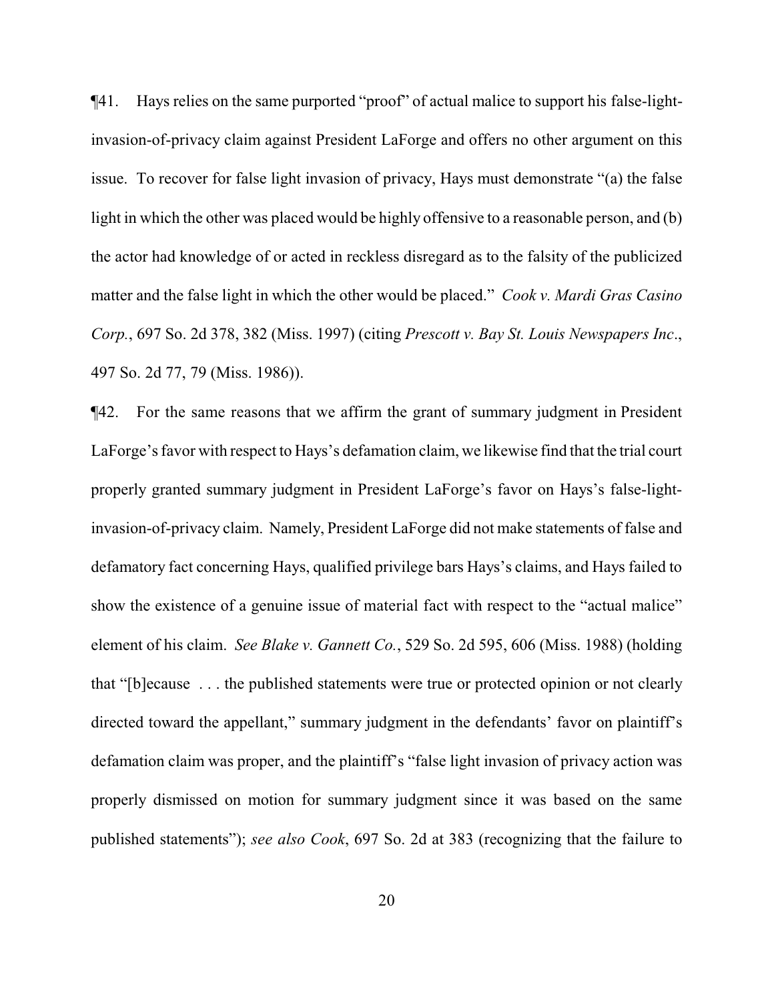¶41. Hays relies on the same purported "proof" of actual malice to support his false-lightinvasion-of-privacy claim against President LaForge and offers no other argument on this issue. To recover for false light invasion of privacy, Hays must demonstrate "(a) the false light in which the other was placed would be highly offensive to a reasonable person, and (b) the actor had knowledge of or acted in reckless disregard as to the falsity of the publicized matter and the false light in which the other would be placed." *Cook v. Mardi Gras Casino Corp.*, 697 So. 2d 378, 382 (Miss. 1997) (citing *Prescott v. Bay St. Louis Newspapers Inc*., 497 So. 2d 77, 79 (Miss. 1986)).

¶42. For the same reasons that we affirm the grant of summary judgment in President LaForge's favor with respect to Hays's defamation claim, we likewise find that the trial court properly granted summary judgment in President LaForge's favor on Hays's false-lightinvasion-of-privacy claim. Namely, President LaForge did not make statements of false and defamatory fact concerning Hays, qualified privilege bars Hays's claims, and Hays failed to show the existence of a genuine issue of material fact with respect to the "actual malice" element of his claim. *See Blake v. Gannett Co.*, 529 So. 2d 595, 606 (Miss. 1988) (holding that "[b]ecause . . . the published statements were true or protected opinion or not clearly directed toward the appellant," summary judgment in the defendants' favor on plaintiff's defamation claim was proper, and the plaintiff's "false light invasion of privacy action was properly dismissed on motion for summary judgment since it was based on the same published statements"); *see also Cook*, 697 So. 2d at 383 (recognizing that the failure to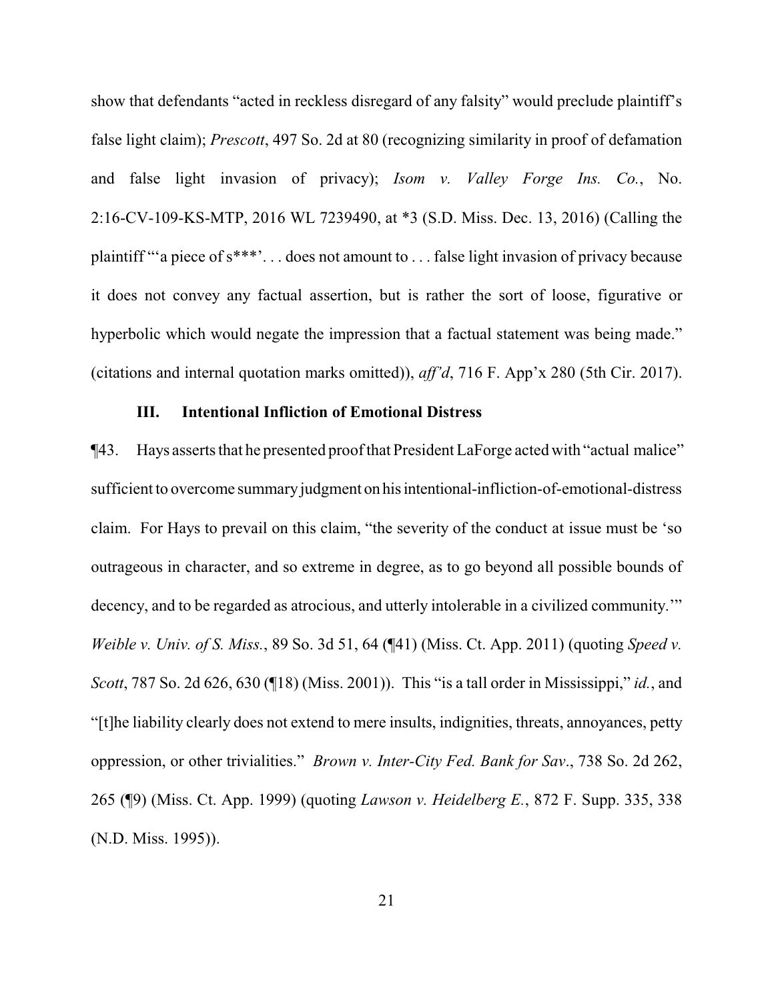show that defendants "acted in reckless disregard of any falsity" would preclude plaintiff's false light claim); *Prescott*, 497 So. 2d at 80 (recognizing similarity in proof of defamation and false light invasion of privacy); *Isom v. Valley Forge Ins. Co.*, No. 2:16-CV-109-KS-MTP, 2016 WL 7239490, at \*3 (S.D. Miss. Dec. 13, 2016) (Calling the plaintiff "'a piece of s\*\*\*'. . . does not amount to . . . false light invasion of privacy because it does not convey any factual assertion, but is rather the sort of loose, figurative or hyperbolic which would negate the impression that a factual statement was being made." (citations and internal quotation marks omitted)), *aff'd*, 716 F. App'x 280 (5th Cir. 2017).

#### **III. Intentional Infliction of Emotional Distress**

¶43. Hays asserts that he presented proofthat President LaForge acted with "actual malice" sufficient to overcome summary judgment on his intentional-infliction-of-emotional-distress claim. For Hays to prevail on this claim, "the severity of the conduct at issue must be 'so outrageous in character, and so extreme in degree, as to go beyond all possible bounds of decency, and to be regarded as atrocious, and utterly intolerable in a civilized community.'" *Weible v. Univ. of S. Miss.*, 89 So. 3d 51, 64 (¶41) (Miss. Ct. App. 2011) (quoting *Speed v. Scott*, 787 So. 2d 626, 630 (¶18) (Miss. 2001)). This "is a tall order in Mississippi," *id.*, and "[t]he liability clearly does not extend to mere insults, indignities, threats, annoyances, petty oppression, or other trivialities." *Brown v. Inter-City Fed. Bank for Sav*., 738 So. 2d 262, 265 (¶9) (Miss. Ct. App. 1999) (quoting *Lawson v. Heidelberg E.*, 872 F. Supp. 335, 338 (N.D. Miss. 1995)).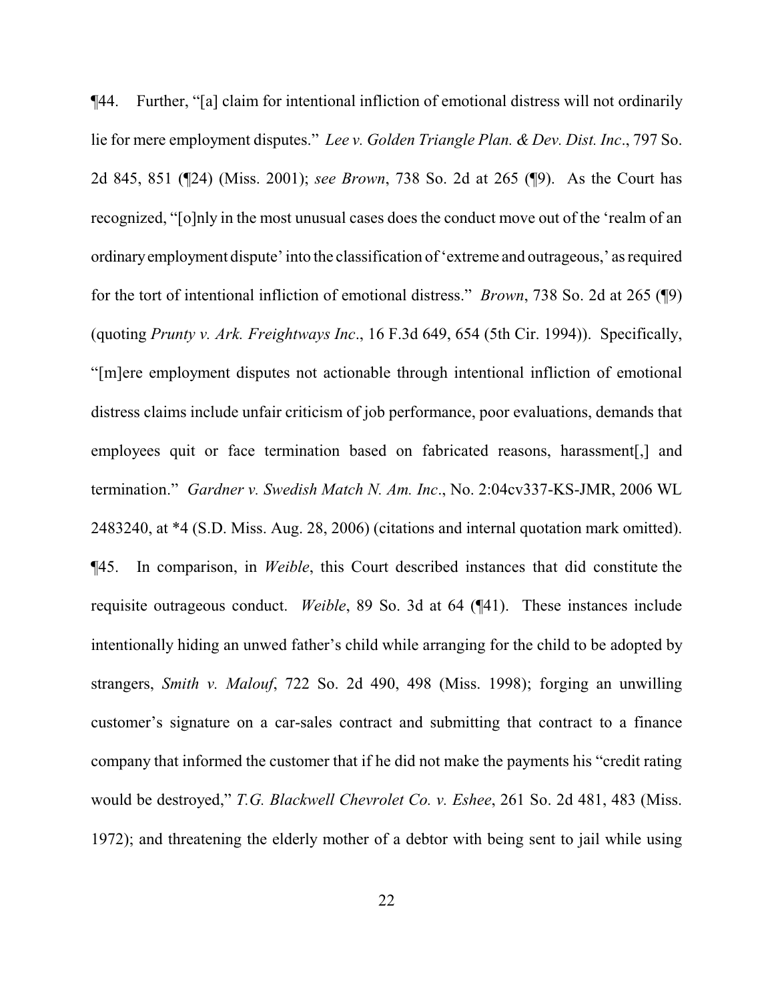¶44. Further, "[a] claim for intentional infliction of emotional distress will not ordinarily lie for mere employment disputes." *Lee v. Golden Triangle Plan. & Dev. Dist. Inc*., 797 So. 2d 845, 851 (¶24) (Miss. 2001); *see Brown*, 738 So. 2d at 265 (¶9). As the Court has recognized, "[o]nly in the most unusual cases does the conduct move out of the 'realm of an ordinaryemployment dispute' into the classification of'extreme and outrageous,' as required for the tort of intentional infliction of emotional distress." *Brown*, 738 So. 2d at 265 (¶9) (quoting *Prunty v. Ark. Freightways Inc*., 16 F.3d 649, 654 (5th Cir. 1994)). Specifically, "[m]ere employment disputes not actionable through intentional infliction of emotional distress claims include unfair criticism of job performance, poor evaluations, demands that employees quit or face termination based on fabricated reasons, harassment[,] and termination." *Gardner v. Swedish Match N. Am. Inc*., No. 2:04cv337-KS-JMR, 2006 WL 2483240, at \*4 (S.D. Miss. Aug. 28, 2006) (citations and internal quotation mark omitted). ¶45. In comparison, in *Weible*, this Court described instances that did constitute the requisite outrageous conduct. *Weible*, 89 So. 3d at 64 (¶41). These instances include intentionally hiding an unwed father's child while arranging for the child to be adopted by strangers, *Smith v. Malouf*, 722 So. 2d 490, 498 (Miss. 1998); forging an unwilling customer's signature on a car-sales contract and submitting that contract to a finance company that informed the customer that if he did not make the payments his "credit rating would be destroyed," *T.G. Blackwell Chevrolet Co. v. Eshee*, 261 So. 2d 481, 483 (Miss. 1972); and threatening the elderly mother of a debtor with being sent to jail while using